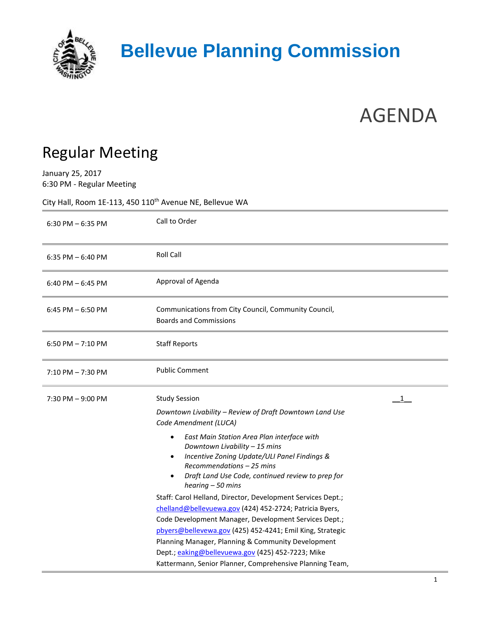

## AGENDA

## Regular Meeting

January 25, 2017 6:30 PM - Regular Meeting

City Hall, Room 1E-113, 450  $110^{th}$  Avenue NE, Bellevue WA

| $6:30$ PM $-6:35$ PM | Call to Order                                                                                                                                                                                                                                                                                                                                                                                                                                                                                                                                                                                                                                                            |
|----------------------|--------------------------------------------------------------------------------------------------------------------------------------------------------------------------------------------------------------------------------------------------------------------------------------------------------------------------------------------------------------------------------------------------------------------------------------------------------------------------------------------------------------------------------------------------------------------------------------------------------------------------------------------------------------------------|
| 6:35 PM $-6:40$ PM   | <b>Roll Call</b>                                                                                                                                                                                                                                                                                                                                                                                                                                                                                                                                                                                                                                                         |
| $6:40$ PM $-6:45$ PM | Approval of Agenda                                                                                                                                                                                                                                                                                                                                                                                                                                                                                                                                                                                                                                                       |
| 6:45 PM $-$ 6:50 PM  | Communications from City Council, Community Council,<br><b>Boards and Commissions</b>                                                                                                                                                                                                                                                                                                                                                                                                                                                                                                                                                                                    |
| 6:50 PM $- 7:10$ PM  | <b>Staff Reports</b>                                                                                                                                                                                                                                                                                                                                                                                                                                                                                                                                                                                                                                                     |
| $7:10$ PM $-7:30$ PM | <b>Public Comment</b>                                                                                                                                                                                                                                                                                                                                                                                                                                                                                                                                                                                                                                                    |
| $7:30$ PM $-9:00$ PM | <b>Study Session</b><br>1<br>Downtown Livability - Review of Draft Downtown Land Use<br>Code Amendment (LUCA)                                                                                                                                                                                                                                                                                                                                                                                                                                                                                                                                                            |
|                      | East Main Station Area Plan interface with<br>$\bullet$<br>Downtown Livability - 15 mins<br>Incentive Zoning Update/ULI Panel Findings &<br>Recommendations - 25 mins<br>Draft Land Use Code, continued review to prep for<br>$hearing - 50 mins$<br>Staff: Carol Helland, Director, Development Services Dept.;<br>chelland@bellevuewa.gov (424) 452-2724; Patricia Byers,<br>Code Development Manager, Development Services Dept.;<br>pbyers@bellevewa.gov (425) 452-4241; Emil King, Strategic<br>Planning Manager, Planning & Community Development<br>Dept.; eaking@bellevuewa.gov (425) 452-7223; Mike<br>Kattermann, Senior Planner, Comprehensive Planning Team, |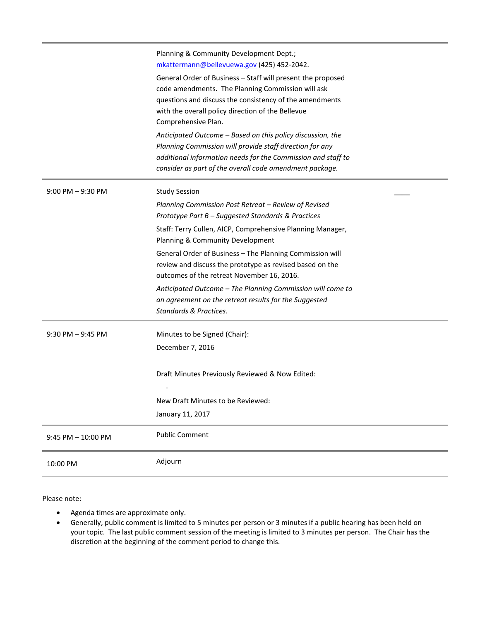|                      | Planning & Community Development Dept.;<br>mkattermann@bellevuewa.gov (425) 452-2042.<br>General Order of Business - Staff will present the proposed<br>code amendments. The Planning Commission will ask<br>questions and discuss the consistency of the amendments<br>with the overall policy direction of the Bellevue<br>Comprehensive Plan.<br>Anticipated Outcome - Based on this policy discussion, the |
|----------------------|----------------------------------------------------------------------------------------------------------------------------------------------------------------------------------------------------------------------------------------------------------------------------------------------------------------------------------------------------------------------------------------------------------------|
|                      | Planning Commission will provide staff direction for any<br>additional information needs for the Commission and staff to<br>consider as part of the overall code amendment package.                                                                                                                                                                                                                            |
| $9:00$ PM $-9:30$ PM | <b>Study Session</b>                                                                                                                                                                                                                                                                                                                                                                                           |
|                      | Planning Commission Post Retreat - Review of Revised<br>Prototype Part B - Suggested Standards & Practices                                                                                                                                                                                                                                                                                                     |
|                      | Staff: Terry Cullen, AICP, Comprehensive Planning Manager,<br>Planning & Community Development                                                                                                                                                                                                                                                                                                                 |
|                      | General Order of Business - The Planning Commission will<br>review and discuss the prototype as revised based on the<br>outcomes of the retreat November 16, 2016.                                                                                                                                                                                                                                             |
|                      | Anticipated Outcome - The Planning Commission will come to<br>an agreement on the retreat results for the Suggested<br>Standards & Practices.                                                                                                                                                                                                                                                                  |
| $9:30$ PM $-9:45$ PM | Minutes to be Signed (Chair):                                                                                                                                                                                                                                                                                                                                                                                  |
|                      | December 7, 2016                                                                                                                                                                                                                                                                                                                                                                                               |
|                      | Draft Minutes Previously Reviewed & Now Edited:                                                                                                                                                                                                                                                                                                                                                                |
|                      | New Draft Minutes to be Reviewed:                                                                                                                                                                                                                                                                                                                                                                              |
|                      | January 11, 2017                                                                                                                                                                                                                                                                                                                                                                                               |
| 9:45 PM - 10:00 PM   | <b>Public Comment</b>                                                                                                                                                                                                                                                                                                                                                                                          |
| 10:00 PM             | Adjourn                                                                                                                                                                                                                                                                                                                                                                                                        |

Please note:

- Agenda times are approximate only.
- Generally, public comment is limited to 5 minutes per person or 3 minutes if a public hearing has been held on your topic. The last public comment session of the meeting is limited to 3 minutes per person. The Chair has the discretion at the beginning of the comment period to change this.